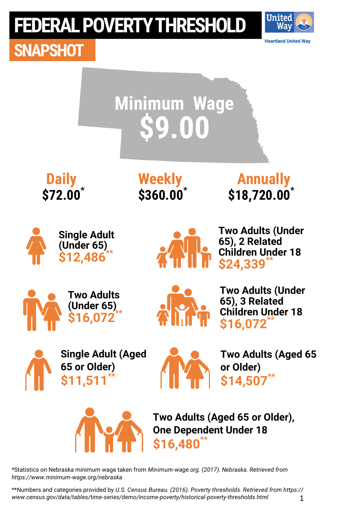

**SNAPSHOT**



\*Statistics on Nebraska minimum wage taken from *Minimum-wage.org. (2017). Nebraska. Retrieved from https://www.minimum-wage.org/nebraska*

1 \*\*Numbers and categories provided by *U.S. Census Bureau. (2016). Poverty thresholds. Retrieved from https:// www.census.gov/data/tables/time-series/demo/income-poverty/historical-poverty-thresholds.html*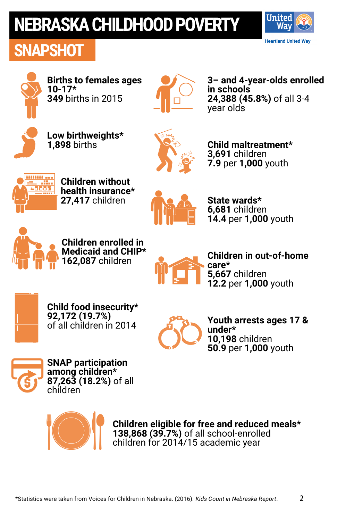# **NEBRASKA CHILDHOOD POVERTY**

### **SNAPSHOT**





**Births to females ages 10-17\* 349** births in 2015



**3– and 4-year-olds enrolled in schools 24,388 (45.8%)** of all 3-4 year olds



**Low birthweights\* 1,898** births



**Child maltreatment\* 3,691** children **7.9** per **1,000** youth



**Children without health insurance\* 27,417** children



**State wards\* 6,681** children **14.4** per **1,000** youth



**Children enrolled in Medicaid and CHIP\* 162,087** children



**Children in out-of-home care\* 5,667** children **12.2** per **1,000** youth



**Child food insecurity\* 92,172 (19.7%)**  of all children in 2014



**Youth arrests ages 17 & under\* 10,198** children **50.9** per **1,000** youth

2



**SNAP participation among children\* 87,263 (18.2%)** of all children



**Children eligible for free and reduced meals\* 138,868 (39.7%)** of all school-enrolled children for 2014/15 academic year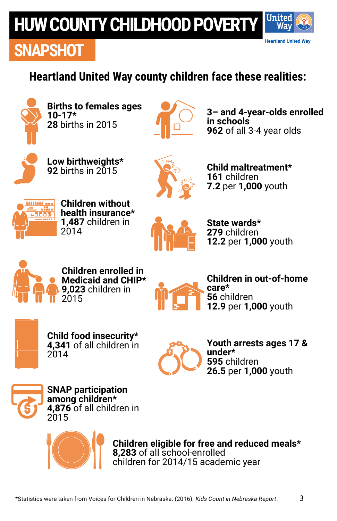# **HUW COUNTY CHILDHOOD POVERT**



### **SNAPSHOT**

### **Heartland United Way county children face these realities:**



**Births to females ages 10-17\* 28** births in 2015



**3– and 4-year-olds enrolled in schools 962** of all 3-4 year olds



**Low birthweights\* 92** births in 2015



**Child maltreatment\* 161** children **7.2** per **1,000** youth



**Children without health insurance\* 1,487** children in 2014



**State wards\* 279** children **12.2** per **1,000** youth



**Children enrolled in Medicaid and CHIP\* 9,023** children in 2015



**Children in out-of-home care\* 56** children **12.9** per **1,000** youth



**Child food insecurity\* 4,341** of all children in  $2014$ 



**Youth arrests ages 17 & under\* 595** children **26.5** per **1,000** youth



**SNAP participation among children\* 4,876** of all children in 2015



**Children eligible for free and reduced meals\* 8,283** of all school-enrolled children for 2014/15 academic year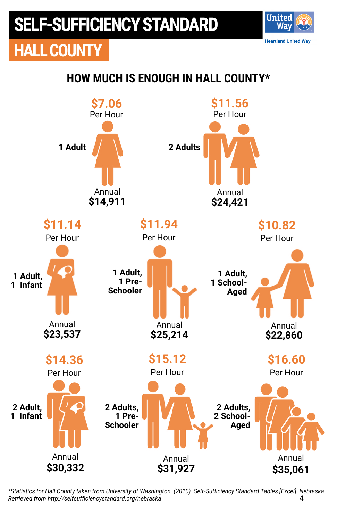**HALL COUNTY**

### **HOW MUCH IS ENOUGH IN HALL COUNTY\***

**United** Wav **Heartland United Way** 



4 *\*Statistics for Hall County taken from University of Washington. (2010). Self-Sufficiency Standard Tables [Excel]. Nebraska. Retrieved from http://selfsufficiencystandard.org/nebraska*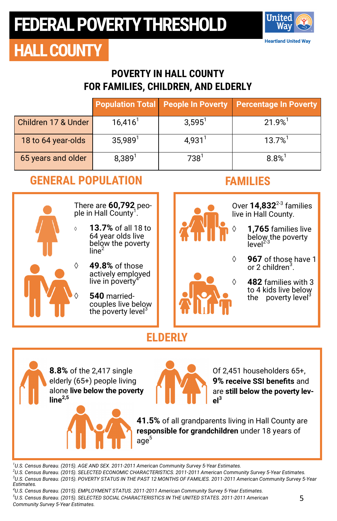

### **HALL COUNTY**

#### **POVERTY IN HALL COUNTY FOR FAMILIES, CHILDREN, AND ELDERLY**

|                     |                       |                    | <b>Population Total People In Poverty Percentage In Poverty</b> |
|---------------------|-----------------------|--------------------|-----------------------------------------------------------------|
| Children 17 & Under | $16,416$ <sup>1</sup> | $3,595^1$          | $21.9%$ <sup>1</sup>                                            |
| 18 to 64 year-olds  | $35,989^1$            | 4,931 <sup>1</sup> | $13.7\%$ <sup>1</sup>                                           |
| 65 years and older  | $8,389^{1}$           | 738 <sup>1</sup>   | $8.8%$ <sup>1</sup>                                             |

#### **GENERAL POPULATION FAMILIES**



There are **60,792** people in Hall County<sup>1</sup>.

- **13.7%** of all 18 to 64 year olds live below the poverty line<sup>2</sup>
- **49.8%** of those actively employed live in poverty
	- **540** marriedcouples live below the poverty level $3$



Over **14,832**<sup>2</sup>-<sup>3</sup> families live in Hall County.

- **1,765** families live below the poverty  $level<sup>2-3</sup>$
- **967** of those have 1 or 2 children<sup>3</sup>.

 **482** families with 3 to 4 kids live below the poverty level<sup>3</sup>

### **ELDERLY**

**8.8%** of the 2,417 single elderly (65+) people living alone **live below the poverty line2,5**



Of 2,451 householders 65+, **9% receive SSI benefits** and are **still below the poverty level3**

**41.5%** of all grandparents living in Hall County are **responsible for grandchildren** under 18 years of age $^5$ 

*<sup>1</sup>U.S. Census Bureau. (2015). AGE AND SEX. 2011-2011 American Community Survey 5-Year Estimates.*

*<sup>2</sup>U.S. Census Bureau. (2015). SELECTED ECONOMIC CHARACTERISTICS. 2011-2011 American Community Survey 5-Year Estimates. <sup>3</sup>U.S. Census Bureau. (2015). POVERTY STATUS IN THE PAST 12 MONTHS OF FAMILIES. 2011-2011 American Community Survey 5-Year Estimates.*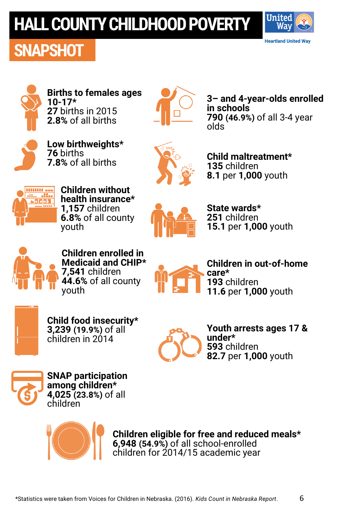# **HALL COUNTY CHILDHOOD POVERTY**

### **SNAPSHOT**





**Births to females ages 10-17\* 27** births in 2015 **2.8%** of all births



**3– and 4-year-olds enrolled in schools 790 (46.9%)** of all 3-4 year olds



**Low birthweights\* 76** births **7.8%** of all births



**Child maltreatment\* 135** children **8.1** per **1,000** youth



**Children without health insurance\* 1,157** children **6.8%** of all county youth



**State wards\* 251** children **15.1** per **1,000** youth



**Children enrolled in Medicaid and CHIP\* 7,541** children **44.6%** of all county youth



**Children in out-of-home care\* 193** children **11.6** per **1,000** youth



**Child food insecurity\* 3,239 (19.9%)** of all children in 2014



**Youth arrests ages 17 & under\* 593** children **82.7** per **1,000** youth



**SNAP participation among children\* 4,025 (23.8%)** of all children



**Children eligible for free and reduced meals\* 6,948 (54.9%)** of all school-enrolled children for 2014/15 academic year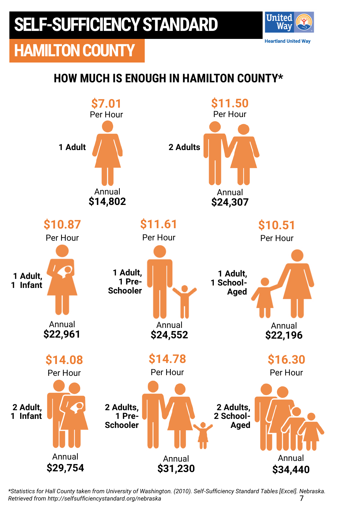**HAMILTON COUNTY**

### **HOW MUCH IS ENOUGH IN HAMILTON COUNTY\***

**United** Wav **Heartland United Way** 



7 *\*Statistics for Hall County taken from University of Washington. (2010). Self-Sufficiency Standard Tables [Excel]. Nebraska. Retrieved from http://selfsufficiencystandard.org/nebraska*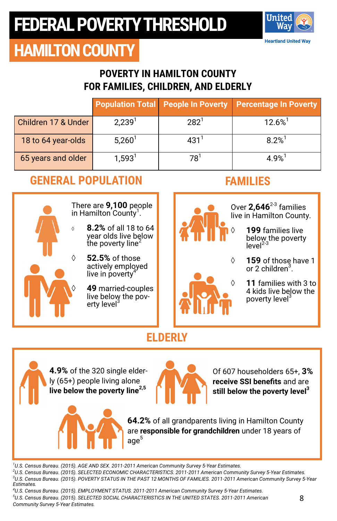

## **HAMILTON COUNTY**

#### **POVERTY IN HAMILTON COUNTY FOR FAMILIES, CHILDREN, AND ELDERLY**

|                     |                    |                  | Population Total People In Poverty Percentage In Poverty |
|---------------------|--------------------|------------------|----------------------------------------------------------|
| Children 17 & Under | 2,239 <sup>1</sup> | 282 <sup>1</sup> | $12.6\%$ <sup>1</sup>                                    |
| 18 to 64 year-olds  | $5,260^1$          | 431 <sup>1</sup> | $8.2%$ <sup>1</sup>                                      |
| 65 years and older  | $1,593^1$          | 78               | 4 9%                                                     |

#### **GENERAL POPULATION FAMILIES**



There are **9,100** people in Hamilton County<sup>1</sup>.

- **8.2%** of all 18 to 64 year olds live below the poverty line<sup>2</sup>
- **52.5%** of those actively employed live in poverty
	- **49** married-couples live below the poverty level<sup>3</sup>



Over 2,646<sup>2-3</sup> families live in Hamilton County.

- **199** families live below the poverty<br>level<sup>2-3</sup>
- **159** of those have 1 or 2 children<sup>3</sup>.
	- **11** families with 3 to 4 kids live below the poverty level<sup>3</sup>

### **ELDERLY**

**4.9%** of the 320 single elderly (65+) people living alone **live below the poverty line2,5**



Of 607 householders 65+, **3% receive SSI benefits** and are **still below the poverty level<sup>3</sup>**

**64.2%** of all grandparents living in Hamilton County are **responsible for grandchildren** under 18 years of age $^5\,$ 

*<sup>1</sup>U.S. Census Bureau. (2015). AGE AND SEX. 2011-2011 American Community Survey 5-Year Estimates. <sup>2</sup>U.S. Census Bureau. (2015). SELECTED ECONOMIC CHARACTERISTICS. 2011-2011 American Community Survey 5-Year Estimates.*

*<sup>3</sup>U.S. Census Bureau. (2015). POVERTY STATUS IN THE PAST 12 MONTHS OF FAMILIES. 2011-2011 American Community Survey 5-Year Estimates.*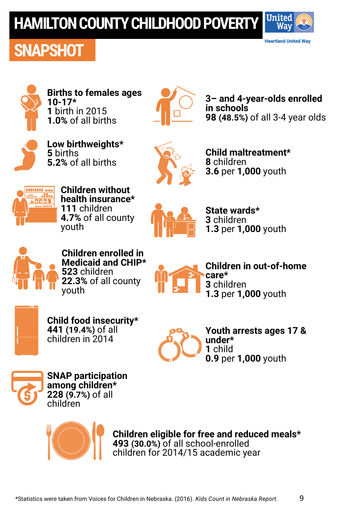## **HAMILTON COUNTY CHILDHOOD POVERT**



### **SNAPSHOT**



**Births to females ages 10-17\* 1** birth in 2015 **1.0%** of all births



**3– and 4-year-olds enrolled in schools 98 (48.5%)** of all 3-4 year olds



**Low birthweights\* 5** births **5.2%** of all births



**Child maltreatment\* 8** children **3.6** per **1,000** youth



**Children without health insurance\* 111** children **4.7%** of all county youth



**State wards\* 3** children **1.3** per **1,000** youth



**Children enrolled in Medicaid and CHIP\* 523** children **22.3%** of all county youth



**Children in out-of-home care\* 3** children **1.3** per **1,000** youth



**Child food insecurity\* 441 (19.4%)** of all children in 2014



**Youth arrests ages 17 & under\* 1** child **0.9** per **1,000** youth



**SNAP participation among children\* 228 (9.7%)** of all children



**Children eligible for free and reduced meals\* 493 (30.0%)** of all school-enrolled children for 2014/15 academic year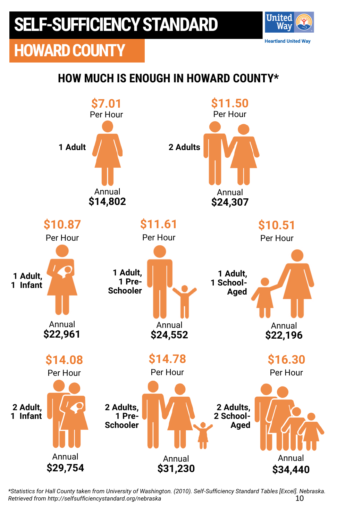

#### **HOW MUCH IS ENOUGH IN HOWARD COUNTY\***

**United** Wav **Heartland United Way** 



10 *\*Statistics for Hall County taken from University of Washington. (2010). Self-Sufficiency Standard Tables [Excel]. Nebraska. Retrieved from http://selfsufficiencystandard.org/nebraska*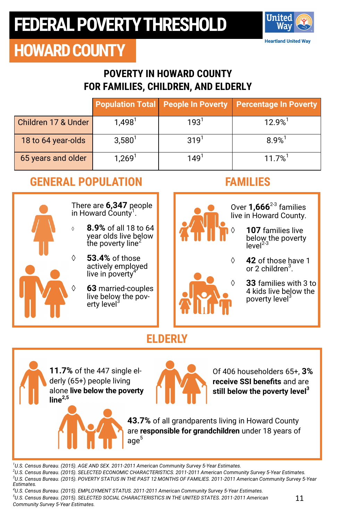

### **HOWARD COUNTY**

#### **POVERTY IN HOWARD COUNTY FOR FAMILIES, CHILDREN, AND ELDERLY**

|                     |                      |                  | <b>Population Total People In Poverty Percentage In Poverty</b> |
|---------------------|----------------------|------------------|-----------------------------------------------------------------|
| Children 17 & Under | $1,498^1$            | 193 <sup>1</sup> | $12.9%$ <sup>1</sup>                                            |
| 18 to 64 year-olds  | $3,580^{1}$          | $319^{1}$        | $8.9%$ <sup>1</sup>                                             |
| 65 years and older  | $1,269$ <sup>1</sup> | $149^1$          | $11.7%$ <sup>1</sup>                                            |

### **GENERAL POPULATION FAMILIES**



There are **6,347** people in Howard County<sup>1</sup>.

- **8.9%** of all 18 to 64 year olds live below the poverty line<sup>4</sup>
- **53.4%** of those actively employed live in poverty
	- **63** married-couples live below the poverty level<sup>3</sup>



Over **1,666**<sup>2</sup>-<sup>3</sup> families live in Howard County.

- **107** families live below the poverty<br>level<sup>2-3</sup>
- **42** of those have 1 or 2 children<sup>3</sup>.
	- **33** families with 3 to 4 kids live below the poverty level<sup>3</sup>

### **ELDERLY**

**11.7%** of the 447 single elderly (65+) people living alone **live below the poverty line2,5**



Of 406 householders 65+, **3% receive SSI benefits** and are **still below the poverty level<sup>3</sup>**

**43.7%** of all grandparents living in Howard County are **responsible for grandchildren** under 18 years of age $^{\rm 5}$ 

*<sup>1</sup>U.S. Census Bureau. (2015). AGE AND SEX. 2011-2011 American Community Survey 5-Year Estimates.*

*<sup>2</sup>U.S. Census Bureau. (2015). SELECTED ECONOMIC CHARACTERISTICS. 2011-2011 American Community Survey 5-Year Estimates. <sup>3</sup>U.S. Census Bureau. (2015). POVERTY STATUS IN THE PAST 12 MONTHS OF FAMILIES. 2011-2011 American Community Survey 5-Year Estimates.*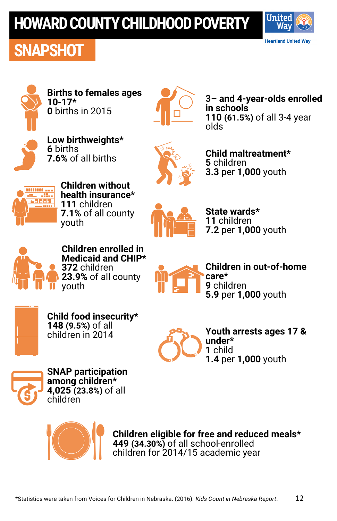## **HOWARD COUNTY CHILDHOOD POVERTY**







**Births to females ages 10-17\* 0** births in 2015



**3– and 4-year-olds enrolled in schools 110 (61.5%)** of all 3-4 year olds



**Low birthweights\* 6** births **7.6%** of all births



**Child maltreatment\* 5** children **3.3** per **1,000** youth



**Children without health insurance\* 111** children **7.1%** of all county youth



**State wards\* 11** children **7.2** per **1,000** youth



**Children enrolled in Medicaid and CHIP\* 372** children **23.9%** of all county youth



**Children in out-of-home care\* 9** children **5.9** per **1,000** youth



**Child food insecurity\* 148 (9.5%)** of all children in 2014



**Youth arrests ages 17 & under\* 1** child **1.4** per **1,000** youth



**SNAP participation among children\* 4,025 (23.8%)** of all children



**Children eligible for free and reduced meals\* 449 (34.30%)** of all school-enrolled children for 2014/15 academic year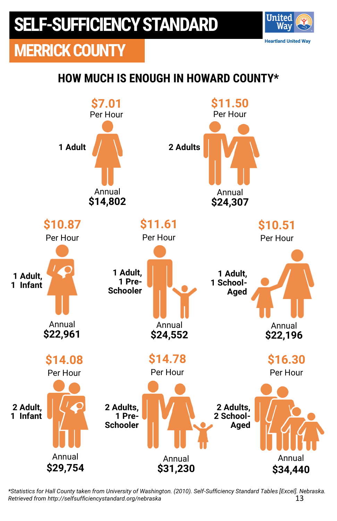

#### **HOW MUCH IS ENOUGH IN HOWARD COUNTY\***

**United** Wav **Heartland United Way** 



13 *\*Statistics for Hall County taken from University of Washington. (2010). Self-Sufficiency Standard Tables [Excel]. Nebraska. Retrieved from http://selfsufficiencystandard.org/nebraska*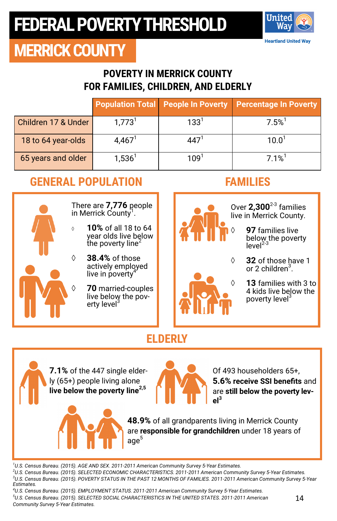

### **MERRICK COUNTY**

#### **POVERTY IN MERRICK COUNTY FOR FAMILIES, CHILDREN, AND ELDERLY**

|                     |                      |           | <b>Population Total People In Poverty Percentage In Poverty</b> |
|---------------------|----------------------|-----------|-----------------------------------------------------------------|
| Children 17 & Under | $1,773$ <sup>1</sup> | $133^1$   | 7.5%                                                            |
| 18 to 64 year-olds  | $4,467^1$            | 447'      | 10.0 <sup>1</sup>                                               |
| 65 years and older  | $1,536^1$            | $109^{1}$ | $7.1\%$ <sup>1</sup>                                            |

#### **GENERAL POPULATION FAMILIES**



There are **7,776** people in Merrick County<sup>1</sup>.

- **10%** of all 18 to 64 year olds live below the poverty line<sup>4</sup>
- **38.4%** of those actively employed live in poverty
	- **70** married-couples live below the poverty level



Over **2,300**<sup>2</sup>-<sup>3</sup> families live in Merrick County.

- **97** families live below the poverty<br>level<sup>2-3</sup>
- **32** of those have 1 or 2 children<sup>3</sup>.
	- **13** families with 3 to 4 kids live below the poverty level<sup>3</sup>

### **ELDERLY**

**7.1%** of the 447 single elderly (65+) people living alone **live below the poverty line2,5**



Of 493 householders 65+, **5.6% receive SSI benefits** and are **still below the poverty level3**

**48.9%** of all grandparents living in Merrick County are **responsible for grandchildren** under 18 years of age $^5\,$ 

*U.S. Census Bureau. (2015). AGE AND SEX. 2011-2011 American Community Survey 5-Year Estimates. U.S. Census Bureau. (2015). SELECTED ECONOMIC CHARACTERISTICS. 2011-2011 American Community Survey 5-Year Estimates. U.S. Census Bureau. (2015). POVERTY STATUS IN THE PAST 12 MONTHS OF FAMILIES. 2011-2011 American Community Survey 5-Year Estimates.*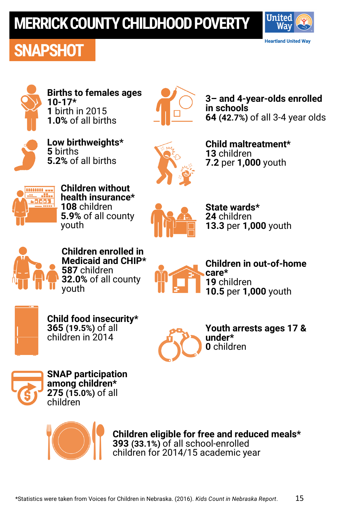## **MERRICK COUNTY CHILDHOOD POVERTY**



### **SNAPSHOT**



**Births to females ages 10-17\* 1** birth in 2015 **1.0%** of all births



**3– and 4-year-olds enrolled in schools 64 (42.7%)** of all 3-4 year olds



**Low birthweights\* 5** births **5.2%** of all births



**Child maltreatment\* 13** children **7.2** per **1,000** youth



**Children without health insurance\* 108** children **5.9%** of all county youth



**State wards\* 24** children **13.3** per **1,000** youth



**Children enrolled in Medicaid and CHIP\* 587** children **32.0%** of all county youth



**Children in out-of-home care\* 19** children **10.5** per **1,000** youth



**Child food insecurity\* 365 (19.5%)** of all children in 2014



**Youth arrests ages 17 & 0** children



**SNAP participation among children\* 275 (15.0%)** of all children



**Children eligible for free and reduced meals\* 393 (33.1%)** of all school-enrolled children for 2014/15 academic year